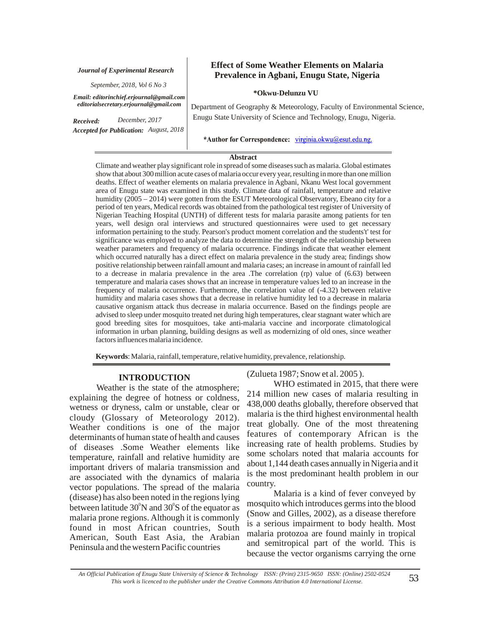#### *Journal of Experimental Research*

*September, 2018, Vol 6 No 3*

*Email: editorinchief.erjournal@gmail.com editorialsecretary.erjournal@gmail.com*

*Received: Accepted for Publication: August, 2018December, 2017*

## **Effect of Some Weather Elements on Malaria Prevalence in Agbani, Enugu State, Nigeria**

### **\*Okwu-Delunzu VU**

Department of Geography & Meteorology, Faculty of Environmental Science, Enugu State University of Science and Technology, Enugu, Nigeria.

\*Author for Correspondence: virginia.okwu@esut.edu.ng.

#### **Abstract**

Climate and weather play significant role in spread of some diseases such as malaria. Global estimates show that about 300 million acute cases of malaria occur every year, resulting in more than one million deaths. Effect of weather elements on malaria prevalence in Agbani, Nkanu West local government area of Enugu state was examined in this study. Climate data of rainfall, temperature and relative humidity (2005 – 2014) were gotten from the ESUT Meteorological Observatory, Ebeano city for a period of ten years, Medical records was obtained from the pathological test register of University of Nigerian Teaching Hospital (UNTH) of different tests for malaria parasite among patients for ten years, well design oral interviews and structured questionnaires were used to get necessary information pertaining to the study. Pearson's product moment correlation and the students't' test for significance was employed to analyze the data to determine the strength of the relationship between weather parameters and frequency of malaria occurrence. Findings indicate that weather element which occurred naturally has a direct effect on malaria prevalence in the study area; findings show positive relationship between rainfall amount and malaria cases; an increase in amount of rainfall led to a decrease in malaria prevalence in the area .The correlation (rp) value of (6.63) between temperature and malaria cases shows that an increase in temperature values led to an increase in the frequency of malaria occurrence. Furthermore, the correlation value of (-4.32) between relative humidity and malaria cases shows that a decrease in relative humidity led to a decrease in malaria causative organism attack thus decrease in malaria occurrence. Based on the findings people are advised to sleep under mosquito treated net during high temperatures, clear stagnant water which are good breeding sites for mosquitoes, take anti-malaria vaccine and incorporate climatological information in urban planning, building designs as well as modernizing of old ones, since weather factors influences malaria incidence.

**Keywords** : Malaria, rainfall, temperature, relative humidity, prevalence, relationship.

### **INTRODUCTION**

Weather is the state of the atmosphere; explaining the degree of hotness or coldness, wetness or dryness, calm or unstable, clear or cloudy (Glossary of Meteorology 2012). Weather conditions is one of the major determinants of human state of health and causes of diseases .Some Weather elements like temperature, rainfall and relative humidity are important drivers of malaria transmission and are associated with the dynamics of malaria vector populations. The spread of the malaria (disease) has also been noted in the regions lying between latitude  $30^{\circ}$ N and  $30^{\circ}$ S of the equator as malaria prone regions. Although it is commonly found in most African countries, South American, South East Asia, the Arabian Peninsula and the western Pacific countries

(Zulueta 1987; Snow et al. 2005 ).

WHO estimated in 2015, that there were 214 million new cases of malaria resulting in 438,000 deaths globally, therefore observed that malaria is the third highest environmental health treat globally. One of the most threatening features of contemporary African is the increasing rate of health problems. Studies by some scholars noted that malaria accounts for about 1,144 death cases annually in Nigeria and it is the most predominant health problem in our country.

 Malaria is a kind of fever conveyed by mosquito which introduces germs into the blood (Snow and Gilles, 2002), as a disease therefore is a serious impairment to body health. Most malaria protozoa are found mainly in tropical and semitropical part of the world. This is because the vector organisms carrying the orne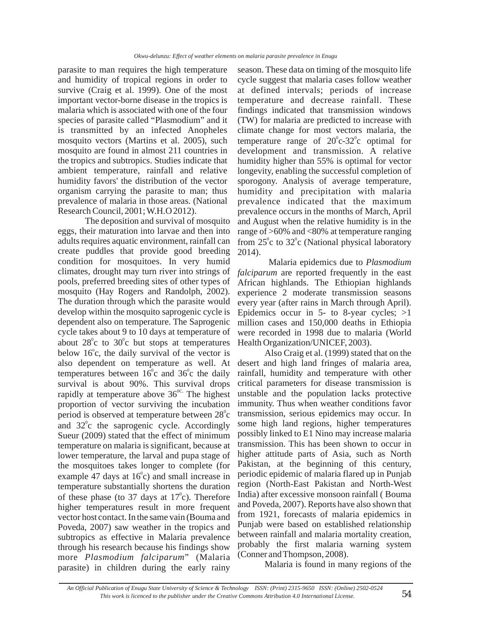parasite to man requires the high temperature and humidity of tropical regions in order to survive (Craig et al. 1999). One of the most important vector-borne disease in the tropics is malaria which is associated with one of the four species of parasite called "Plasmodium" and it is transmitted by an infected Anopheles mosquito vectors (Martins et al. 2005), such mosquito are found in almost 211 countries in the tropics and subtropics. Studies indicate that ambient temperature, rainfall and relative humidity favors' the distribution of the vector organism carrying the parasite to man; thus prevalence of malaria in those areas. (National Research Council, 2001; W.H.O 2012).

The deposition and survival of mosquito eggs, their maturation into larvae and then into adults requires aquatic environment, rainfall can create puddles that provide good breeding condition for mosquitoes. In very humid climates, drought may turn river into strings of pools, preferred breeding sites of other types of mosquito (Hay Rogers and Randolph, 2002). The duration through which the parasite would develop within the mosquito saprogenic cycle is dependent also on temperature. The Saprogenic cycle takes about 9 to 10 days at temperature of about  $28^{\circ}$ c to  $30^{\circ}$ c but stops at temperatures below  $16^{\circ}$ c, the daily survival of the vector is also dependent on temperature as well. At temperatures between  $16^{\circ}$ c and  $36^{\circ}$ c the daily survival is about 90%. This survival drops rapidly at temperature above  $36^{\circ c}$ . The highest proportion of vector surviving the incubation period is observed at temperature between  $28^{\circ}$ c and  $32^{\circ}$ c the saprogenic cycle. Accordingly Sueur (2009) stated that the effect of minimum temperature on malaria is significant, because at lower temperature, the larval and pupa stage of the mosquitoes takes longer to complete (for example 47 days at  $16^{\circ}$ c) and small increase in temperature substantially shortens the duration of these phase (to 37 days at  $17^{\circ}$ c). Therefore higher temperatures result in more frequent vector host contact. In the same vain (Bouma and Poveda, 2007) saw weather in the tropics and subtropics as effective in Malaria prevalence through his research because his findings show more Plasmodium falciparum" (Malaria parasite) in children during the early rainy

season. These data on timing of the mosquito life cycle suggest that malaria cases follow weather at defined intervals; periods of increase temperature and decrease rainfall. These findings indicated that transmission windows (TW) for malaria are predicted to increase with climate change for most vectors malaria, the temperature range of  $20^{\circ}$ c-32 $^{\circ}$ c optimal for development and transmission. A relative humidity higher than 55% is optimal for vector longevity, enabling the successful completion of sporogony. Analysis of average temperature, humidity and precipitation with malaria prevalence indicated that the maximum prevalence occurs in the months of March, April and August when the relative humidity is in the range of >60% and <80% at temperature ranging from  $25^{\circ}$ c to  $32^{\circ}$ c (National physical laboratory 2014).

 Malaria epidemics due to *Plasmodium*  falciparum are reported frequently in the east African highlands. The Ethiopian highlands experience 2 moderate transmission seasons every year (after rains in March through April). Epidemics occur in  $5-$  to 8-year cycles;  $>1$ million cases and 150,000 deaths in Ethiopia were recorded in 1998 due to malaria (World Health Organization/UNICEF, 2003).

Also Craig et al. (1999) stated that on the desert and high land fringes of malaria area, rainfall, humidity and temperature with other critical parameters for disease transmission is unstable and the population lacks protective immunity. Thus when weather conditions favor transmission, serious epidemics may occur. In some high land regions, higher temperatures possibly linked to E1 Nino may increase malaria transmission. This has been shown to occur in higher attitude parts of Asia, such as North Pakistan, at the beginning of this century, periodic epidemic of malaria flared up in Punjab region (North-East Pakistan and North-West India) after excessive monsoon rainfall ( Bouma and Poveda, 2007). Reports have also shown that from 1921, forecasts of malaria epidemics in Punjab were based on established relationship between rainfall and malaria mortality creation, probably the first malaria warning system (Conner and Thompson, 2008).

Malaria is found in many regions of the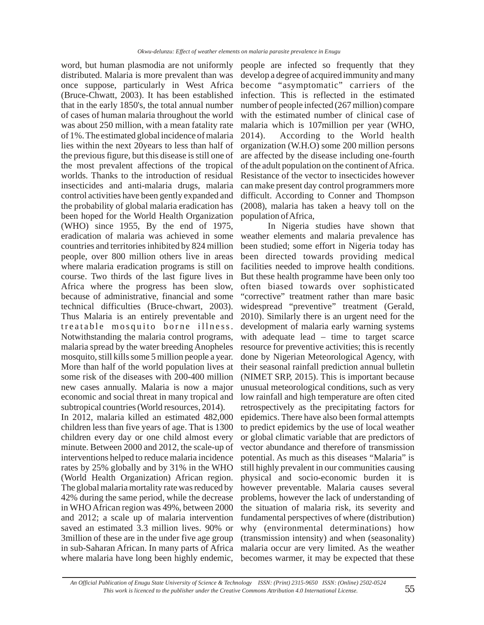word, but human plasmodia are not uniformly distributed. Malaria is more prevalent than was once suppose, particularly in West Africa (Bruce-Chwatt, 2003). It has been established that in the early 1850's, the total annual number of cases of human malaria throughout the world was about 250 million, with a mean fatality rate of 1%. The estimated global incidence of malaria lies within the next 20years to less than half of the previous figure, but this disease is still one of the most prevalent affections of the tropical worlds. Thanks to the introduction of residual insecticides and anti-malaria drugs, malaria control activities have been gently expanded and the probability of global malaria eradication has been hoped for the World Health Organization (WHO) since 1955, By the end of 1975, eradication of malaria was achieved in some countries and territories inhibited by 824 million people, over 800 million others live in areas where malaria eradication programs is still on course. Two thirds of the last figure lives in Africa where the progress has been slow, because of administrative, financial and some technical difficulties (Bruce-chwart, 2003). Thus Malaria is an entirely preventable and treatable mosquito borne illness. Notwithstanding the malaria control programs, malaria spread by the water breeding Anopheles mosquito, still kills some 5 million people a year. More than half of the world population lives at some risk of the diseases with 200-400 million new cases annually. Malaria is now a major economic and social threat in many tropical and subtropical countries (World resources, 2014). In 2012, malaria killed an estimated 482,000 children less than five years of age. That is 1300 children every day or one child almost every minute. Between 2000 and 2012, the scale-up of interventions helped to reduce malaria incidence rates by 25% globally and by 31% in the WHO (World Health Organization) African region. The global malaria mortality rate was reduced by 42% during the same period, while the decrease

in WHO African region was 49%, between 2000 and 2012; a scale up of malaria intervention saved an estimated 3.3 million lives. 90% or 3million of these are in the under five age group in sub-Saharan African. In many parts of Africa where malaria have long been highly endemic,

people are infected so frequently that they develop a degree of acquired immunity and many become "asymptomatic" carriers of the infection. This is reflected in the estimated number of people infected (267 million) compare with the estimated number of clinical case of malaria which is 107million per year (WHO, 2014). According to the World health organization (W.H.O) some 200 million persons are affected by the disease including one-fourth of the adult population on the continent of Africa. Resistance of the vector to insecticides however can make present day control programmers more difficult. According to Conner and Thompson (2008), malaria has taken a heavy toll on the population of Africa,

In Nigeria studies have shown that weather elements and malaria prevalence has been studied; some effort in Nigeria today has been directed towards providing medical facilities needed to improve health conditions. But these health programme have been only too often biased towards over sophisticated "corrective" treatment rather than mare basic widespread "preventive" treatment (Gerald, 2010). Similarly there is an urgent need for the development of malaria early warning systems with adequate lead – time to target scarce resource for preventive activities; this is recently done by Nigerian Meteorological Agency, with their seasonal rainfall prediction annual bulletin (NIMET SRP, 2015). This is important because unusual meteorological conditions, such as very low rainfall and high temperature are often cited retrospectively as the precipitating factors for epidemics. There have also been formal attempts to predict epidemics by the use of local weather or global climatic variable that are predictors of vector abundance and therefore of transmission potential. As much as this diseases "Malaria" is still highly prevalent in our communities causing physical and socio-economic burden it is however preventable. Malaria causes several problems, however the lack of understanding of the situation of malaria risk, its severity and fundamental perspectives of where (distribution) why (environmental determinations) how (transmission intensity) and when (seasonality) malaria occur are very limited. As the weather becomes warmer, it may be expected that these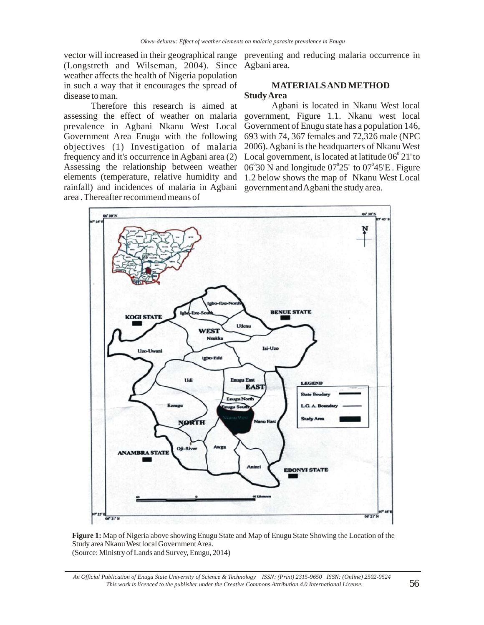(Longstreth and Wilseman, 2004). Since Agbani area. weather affects the health of Nigeria population in such a way that it encourages the spread of disease to man.

Therefore this research is aimed at assessing the effect of weather on malaria prevalence in Agbani Nkanu West Local Government Area Enugu with the following rainfall) and incidences of malaria in Agbani government and Agbani the study area. area . Thereafter recommend means of

vector will increased in their geographical range preventing and reducing malaria occurrence in

## **MATERIALS AND METHOD Study Area**

objectives (1) Investigation of malaria 2006). Agbani is the headquarters of Nkanu West frequency and it's occurrence in Agbani area (2) Local government, is located at latitude  $06^{\circ}21'$  to Assessing the relationship between weather  $06^{\circ}30$  N and longitude  $07^{\circ}25'$  to  $07^{\circ}45'E$ . Figure elements (temperature, relative humidity and 1.2 below shows the map of Nkanu West Local Agbani is located in Nkanu West local government, Figure 1.1. Nkanu west local Government of Enugu state has a population 146, 693 with 74, 367 females and 72,326 male (NPC



**Figure 1:** Map of Nigeria above showing Enugu State and Map of Enugu State Showing the Location of the Study area Nkanu West local Government Area. (Source: Ministry of Lands and Survey, Enugu, 2014)

*An Official Publication of Enugu State University of Science & Technology ISSN: (Print) 2315-9650 ISSN: (Online) 2502-0524 This work is licenced to the publisher under the Creative Commons Attribution 4.0 International License.* 56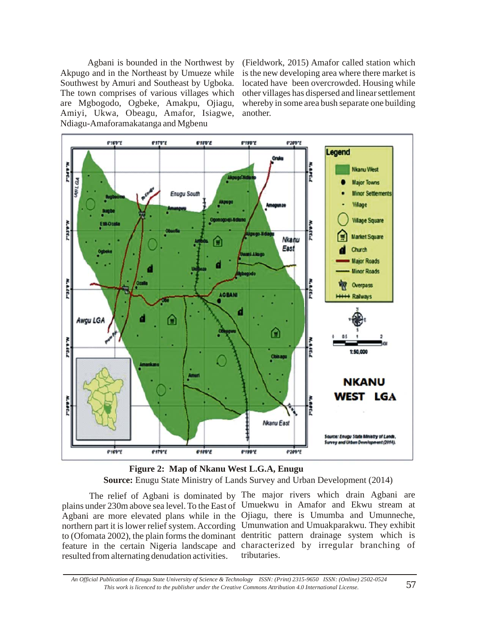Akpugo and in the Northeast by Umueze while Southwest by Amuri and Southeast by Ugboka. The town comprises of various villages which are Mgbogodo, Ogbeke, Amakpu, Ojiagu, Amiyi, Ukwa, Obeagu, Amafor, Isiagwe, Ndiagu-Amaforamakatanga and Mgbenu

Agbani is bounded in the Northwest by (Fieldwork, 2015) Amafor called station which is the new developing area where there market is located have been overcrowded. Housing while other villages has dispersed and linear settlement whereby in some area bush separate one building another.



 **Figure 2: Map of Nkanu West L.G.A, Enugu Source:** Enugu State Ministry of Lands Survey and Urban Development (2014)

resulted from alternating denudation activities.

The relief of Agbani is dominated by The major rivers which drain Agbani are plains under 230m above sea level. To the East of Umuekwu in Amafor and Ekwu stream at Agbani are more elevated plans while in the Ojiagu, there is Umumba and Umunneche, northern part it is lower relief system. According Umunwation and Umuakparakwu. They exhibit to (Ofomata 2002), the plain forms the dominant dentritic pattern drainage system which is feature in the certain Nigeria landscape and characterized by irregular branching of tributaries.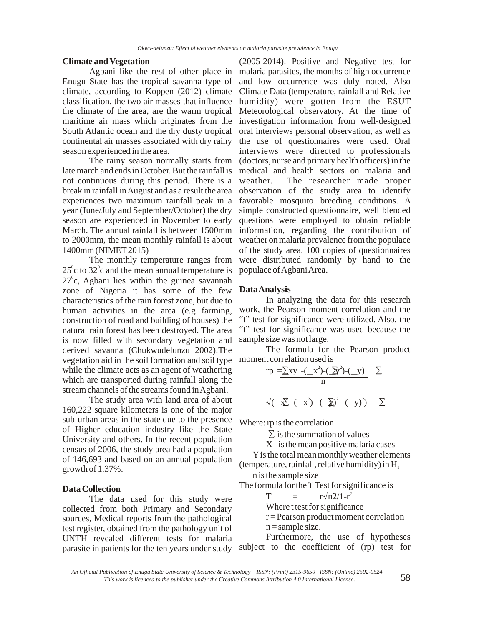## **Climate and Vegetation**

Agbani like the rest of other place in Enugu State has the tropical savanna type of climate, according to Koppen (2012) climate classification, the two air masses that influence the climate of the area, are the warm tropical maritime air mass which originates from the South Atlantic ocean and the dry dusty tropical continental air masses associated with dry rainy season experienced in the area.

The rainy season normally starts from late march and ends in October. But the rainfall is not continuous during this period. There is a break in rainfall in August and as a result the area experiences two maximum rainfall peak in a year (June/July and September/October) the dry season are experienced in November to early March. The annual rainfall is between 1500mm to 2000mm, the mean monthly rainfall is about 1400mm (NIMET 2015)

The monthly temperature ranges from 25 $\degree$ c to 32 $\degree$ c and the mean annual temperature is  $27^{\circ}$ c, Agbani lies within the guinea savannah zone of Nigeria it has some of the few characteristics of the rain forest zone, but due to human activities in the area (e.g farming, construction of road and building of houses) the natural rain forest has been destroyed. The area is now filled with secondary vegetation and derived savanna (Chukwudelunzu 2002).The vegetation aid in the soil formation and soil type while the climate acts as an agent of weathering which are transported during rainfall along the stream channels of the streams found in Agbani.

The study area with land area of about 160,222 square kilometers is one of the major sub-urban areas in the state due to the presence of Higher education industry like the State University and others. In the recent population census of 2006, the study area had a population of 146,693 and based on an annual population growth of 1.37%.

### **Data Collection**

The data used for this study were collected from both Primary and Secondary sources, Medical reports from the pathological test register, obtained from the pathology unit of UNTH revealed different tests for malaria parasite in patients for the ten years under study

(2005-2014). Positive and Negative test for malaria parasites, the months of high occurrence and low occurrence was duly noted. Also Climate Data (temperature, rainfall and Relative humidity) were gotten from the ESUT Meteorological observatory. At the time of investigation information from well-designed oral interviews personal observation, as well as the use of questionnaires were used. Oral interviews were directed to professionals (doctors, nurse and primary health officers) in the medical and health sectors on malaria and weather. The researcher made proper observation of the study area to identify favorable mosquito breeding conditions. A simple constructed questionnaire, well blended questions were employed to obtain reliable information, regarding the contribution of weather on malaria prevalence from the populace of the study area. 100 copies of questionnaires were distributed randomly by hand to the populace of Agbani Area.

#### **Data Analysis**

In analyzing the data for this research work, the Pearson moment correlation and the "t" test for significance were utilized. Also, the "t" test for significance was used because the sample size was not large.

The formula for the Pearson product moment correlation used is

$$
rp = \frac{\sum xy - (-x^{2}) - (\sum y^{2}) - (-y)}{n} \sum
$$
  
 
$$
\sqrt{(\sum x^{2}) - (\sum y^{2}) - (\sum y^{2})} \sum
$$

Where: rp is the correlation

 $\Sigma$  is the summation of values

X is the mean positive malaria cases

Y is the total mean monthly weather elements (temperature, rainfall, relative humidity) in  $H_1$ 

n is the sample size

The formula for the 't' Test for significance is

$$
T = r \sqrt{n} 2/1 - r^2
$$

Where t test for significance r = Pearson product moment correlation  $n =$ sample size.

Furthermore, the use of hypotheses subject to the coefficient of (rp) test for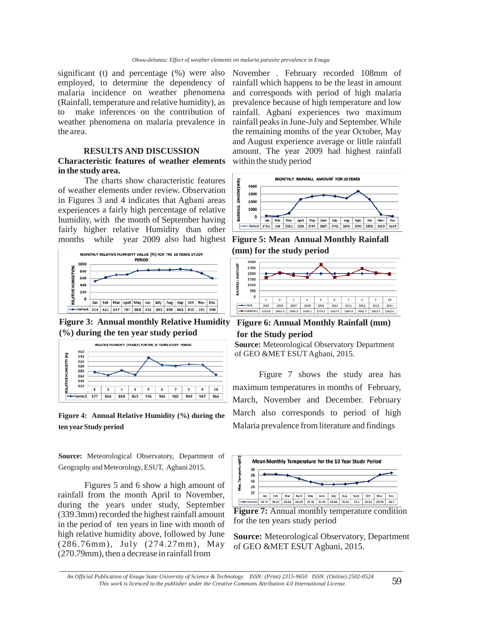significant (t) and percentage (%) were also employed, to determine the dependency of malaria incidence on weather phenomena (Rainfall, temperature and relative humidity), as to make inferences on the contribution of weather phenomena on malaria prevalence in the area.

### **RESULTS AND DISCUSSION**

### **Characteristic features of weather elements in the study area.**

The charts show characteristic features of weather elements under review. Observation in Figures 3 and 4 indicates that Agbani areas experiences a fairly high percentage of relative humidity, with the month of September having fairly higher relative Humidity than other months while year 2009 also had highest



**Figure 3: Annual monthly Relative Humidity (%) during the ten year study period**



**Figure 4: Annual Relative Humidity (%) during the ten year Study period** 

**Source:** Meteorological Observatory, Department of Geography and Meteorology, ESUT, Agbani 2015.

Figures 5 and 6 show a high amount of rainfall from the month April to November, during the years under study, September (339.3mm) recorded the highest rainfall amount in the period of ten years in line with month of high relative humidity above, followed by June (286.76mm), July (274.27mm), May (270.79mm), then a decrease in rainfall from

November . February recorded 108mm of rainfall which happens to be the least in amount and corresponds with period of high malaria prevalence because of high temperature and low rainfall. Agbani experiences two maximum rainfall peaks in June-July and September. While the remaining months of the year October, May and August experience average or little rainfall amount. The year 2009 had highest rainfall within the study period



**Figure 5: Mean Annual Monthly Rainfall (mm) for the study period**



**Figure 6: Annual Monthly Rainfall (mm) for the Study period**



 Figure 7 shows the study area has maximum temperatures in months of February, March, November and December. February March also corresponds to period of high Malaria prevalence from literature and findings



for the ten years study period

**Source:** Meteorological Observatory, Department of GEO &MET ESUT Agbani, 2015.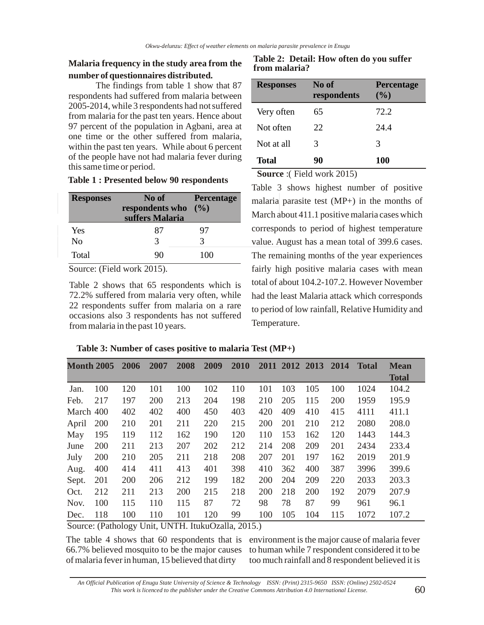## **Malaria frequency in the study area from the number of questionnaires distributed.**

The findings from table 1 show that 87 respondents had suffered from malaria between 2005-2014, while 3 respondents had not suffered from malaria for the past ten years. Hence about 97 percent of the population in Agbani, area at one time or the other suffered from malaria, within the past ten years. While about 6 percent of the people have not had malaria fever during this same time or period.

|  |  |  |  |  | <b>Table 1: Presented below 90 respondents</b> |
|--|--|--|--|--|------------------------------------------------|
|--|--|--|--|--|------------------------------------------------|

| <b>Responses</b> | No of<br>respondents who<br>suffers Malaria | <b>Percentage</b><br>(9/0) |
|------------------|---------------------------------------------|----------------------------|
| Yes              | 87                                          | 97                         |
| No               | 3                                           | 3                          |
| Total            | 90                                          | 100                        |

Source: (Field work 2015).

Table 2 shows that 65 respondents which is 72.2% suffered from malaria very often, while 22 respondents suffer from malaria on a rare occasions also 3 respondents has not suffered from malaria in the past 10 years.

**Table 2: Detail: How often do you suffer from malaria?**

| <b>Responses</b> | No of<br>respondents | <b>Percentage</b><br>(9/0) |
|------------------|----------------------|----------------------------|
| Very often       | 65                   | 72.2                       |
| Not often        | 22                   | 24.4                       |
| Not at all       | 3                    | 3                          |
| <b>Total</b>     | 90                   | <b>100</b>                 |

**Source** :( Field work 2015)

Table 3 shows highest number of positive malaria parasite test (MP+) in the months of March about 411.1 positive malaria cases which corresponds to period of highest temperature value. August has a mean total of 399.6 cases. The remaining months of the year experiences fairly high positive malaria cases with mean total of about 104.2-107.2. However November had the least Malaria attack which corresponds to period of low rainfall, Relative Humidity and Temperature.

|  |  |  | Table 3: Number of cases positive to malaria Test (MP+) |
|--|--|--|---------------------------------------------------------|
|  |  |  |                                                         |

| <b>Month 2005</b> |     | 2006 | 2007 | 2008 | 2009 | 2010 | <b>2011</b> | 2012 2013 |     | 2014 | <b>Total</b> | <b>Mean</b>  |
|-------------------|-----|------|------|------|------|------|-------------|-----------|-----|------|--------------|--------------|
|                   |     |      |      |      |      |      |             |           |     |      |              | <b>Total</b> |
| Jan.              | 100 | 120  | 101  | 100  | 102  | 110  | 101         | 103       | 105 | 100  | 1024         | 104.2        |
| Feb.              | 217 | 197  | 200  | 213  | 204  | 198  | 210         | 205       | 115 | 200  | 1959         | 195.9        |
| March 400         |     | 402  | 402  | 400  | 450  | 403  | 420         | 409       | 410 | 415  | 4111         | 411.1        |
| April             | 200 | 210  | 201  | 211  | 220  | 215  | 200         | 201       | 210 | 212  | 2080         | 208.0        |
| May               | 195 | 119  | 112  | 162  | 190  | 120  | 110         | 153       | 162 | 120  | 1443         | 144.3        |
| June              | 200 | 211  | 213  | 207  | 202  | 212  | 214         | 208       | 209 | 201  | 2434         | 233.4        |
| July              | 200 | 210  | 205  | 211  | 218  | 208  | 207         | 201       | 197 | 162  | 2019         | 201.9        |
| Aug.              | 400 | 414  | 411  | 413  | 401  | 398  | 410         | 362       | 400 | 387  | 3996         | 399.6        |
| Sept.             | 201 | 200  | 206  | 212  | 199  | 182  | 200         | 204       | 209 | 220  | 2033         | 203.3        |
| Oct.              | 212 | 211  | 213  | 200  | 215  | 218  | 200         | 218       | 200 | 192  | 2079         | 207.9        |
| Nov.              | 100 | 115  | 110  | 115  | 87   | 72   | 98          | 78        | 87  | 99   | 961          | 96.1         |
| Dec.              | 118 | 100  | 110  | 101  | 120  | 99   | 100         | 105       | 104 | 115  | 1072         | 107.2        |

Source: (Pathology Unit, UNTH. ItukuOzalla, 2015.)

The table 4 shows that 60 respondents that is environment is the major cause of malaria fever 66.7% believed mosquito to be the major causes of malaria fever in human, 15 believed that dirty

to human while 7 respondent considered it to be too much rainfall and 8 respondent believed it is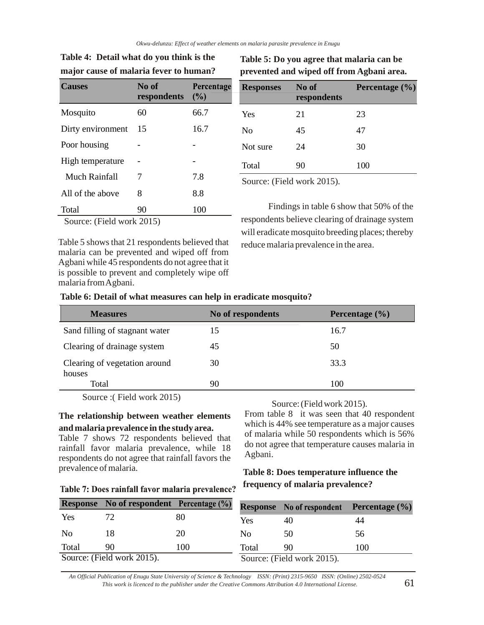| <b>Causes</b>             | No of<br>respondents | Percentage<br>(%) |  |  |  |  |
|---------------------------|----------------------|-------------------|--|--|--|--|
| Mosquito                  | 60                   | 66.7              |  |  |  |  |
| Dirty environment         | 15                   | 16.7              |  |  |  |  |
| Poor housing              |                      |                   |  |  |  |  |
| High temperature          |                      |                   |  |  |  |  |
| Much Rainfall             | 7                    | 7.8               |  |  |  |  |
| All of the above          | 8                    | 8.8               |  |  |  |  |
| Total                     | 90                   | 100               |  |  |  |  |
| Source: (Field work 2015) |                      |                   |  |  |  |  |

# **Table 4: Detail what do you think is the major cause of malaria fever to human?**

# **Table 5: Do you agree that malaria can be prevented and wiped off from Agbani area.**

| <b>Responses</b> | No of<br>respondents                          | Percentage $(\% )$ |
|------------------|-----------------------------------------------|--------------------|
| Yes              | 21                                            | 23                 |
| N <sub>0</sub>   | 45                                            | 47                 |
| Not sure         | 24                                            | 30                 |
| Total            | 90                                            | 100                |
|                  | $C = \sqrt{\Gamma^2} \cdot 11 = 1 \cdot 2015$ |                    |

Source: (Field work 2015).

Findings in table 6 show that 50% of the respondents believe clearing of drainage system will eradicate mosquito breeding places; thereby reduce malaria prevalence in the area.

Table 5 shows that 21 respondents believed that malaria can be prevented and wiped off from Agbani while 45 respondents do not agree that it is possible to prevent and completely wipe off malaria from Agbani.

## **Table 6: Detail of what measures can help in eradicate mosquito?**

| <b>Measures</b>                         | No of respondents | Percentage $(\% )$ |
|-----------------------------------------|-------------------|--------------------|
| Sand filling of stagnant water          | 15                | 16.7               |
| Clearing of drainage system             | 45                | 50                 |
| Clearing of vegetation around<br>houses | 30                | 33.3               |
| Total                                   | 90                | 100                |

Source :( Field work 2015)

## **The relationship between weather elements and malaria prevalence in the study area.**

Table 7 shows 72 respondents believed that rainfall favor malaria prevalence, while 18 respondents do not agree that rainfall favors the prevalence of malaria.

## Source: (Field work 2015).

From table 8 it was seen that 40 respondent which is 44% see temperature as a major causes of malaria while 50 respondents which is 56% do not agree that temperature causes malaria in Agbani.

# **Table 8: Does temperature influence the frequency of malaria prevalence?**

|                | <b>Response</b> No of respondent Percentage $(\%)$ |     |       | <b>Response</b> No of respondent | <b>Percentage</b> $(\% )$ |
|----------------|----------------------------------------------------|-----|-------|----------------------------------|---------------------------|
| Yes            |                                                    | 80  | Yes.  |                                  |                           |
| N <sub>0</sub> |                                                    |     | No.   | 50                               | 56                        |
| Total          | 90                                                 | 100 | Total | 90                               | 100                       |
|                | Source: (Field work 2015).                         |     |       | Source: (Field work 2015).       |                           |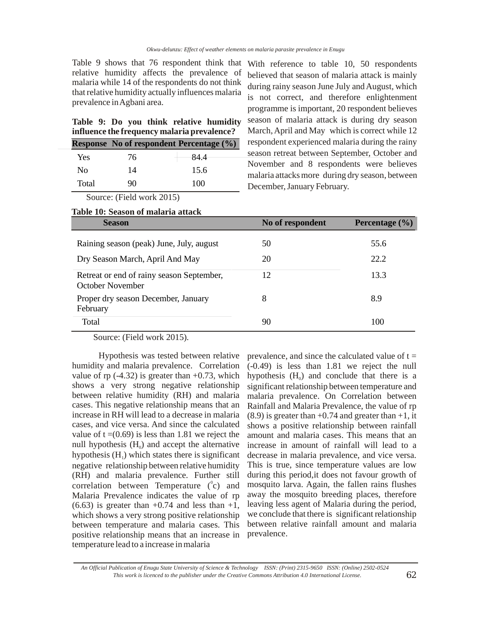Table 9 shows that 76 respondent think that With reference to table 10, 50 respondents relative humidity affects the prevalence of malaria while 14 of the respondents do not think that relative humidity actually influences malaria prevalence in Agbani area.

|  |  |                                             | Table 9: Do you think relative humidity |
|--|--|---------------------------------------------|-----------------------------------------|
|  |  | influence the frequency malaria prevalence? |                                         |

|                | <b>Response No of respondent Percentage (%)</b> |       |
|----------------|-------------------------------------------------|-------|
| Yes            | 76                                              | -84.4 |
| N <sub>0</sub> | 14                                              | 15.6  |
| Total          | 90                                              | 100   |

believed that season of malaria attack is mainly during rainy season June July and August, which is not correct, and therefore enlightenment programme is important, 20 respondent believes season of malaria attack is during dry season March, April and May which is correct while 12 respondent experienced malaria during the rainy season retreat between September, October and November and 8 respondents were believes malaria attacks more during dry season, between December, January February.

Source: (Field work 2015)

| Table 10: Season of malaria attack |  |  |
|------------------------------------|--|--|
|------------------------------------|--|--|

| <b>Season</b>                                                               | No of respondent | Percentage $(\% )$ |
|-----------------------------------------------------------------------------|------------------|--------------------|
| Raining season (peak) June, July, august<br>Dry Season March, April And May | 50<br>20         | 55.6<br>22.2       |
| Retreat or end of rainy season September,<br>October November               | 12               | 13.3               |
| Proper dry season December, January<br>February                             | 8                | 8.9                |
| Total                                                                       | 90               | 100                |

Source: (Field work 2015).

 Hypothesis was tested between relative humidity and malaria prevalence. Correlation value of rp  $(-4.32)$  is greater than  $+0.73$ , which shows a very strong negative relationship between relative humidity (RH) and malaria cases. This negative relationship means that an increase in RH will lead to a decrease in malaria cases, and vice versa. And since the calculated value of  $t = (0.69)$  is less than 1.81 we reject the null hypothesis  $(H_0)$  and accept the alternative hypothesis  $(H<sub>1</sub>)$  which states there is significant negative relationship between relative humidity (RH) and malaria prevalence. Further still correlation between Temperature  $(^0c)$  and Malaria Prevalence indicates the value of rp  $(6.63)$  is greater than  $+0.74$  and less than  $+1$ , which shows a very strong positive relationship between temperature and malaria cases. This positive relationship means that an increase in temperature lead to a increase in malaria

prevalence, and since the calculated value of  $t =$ (-0.49) is less than 1.81 we reject the null hypothesis  $(H_0)$  and conclude that there is a significant relationship between temperature and malaria prevalence. On Correlation between Rainfall and Malaria Prevalence, the value of rp  $(8.9)$  is greater than  $+0.74$  and greater than  $+1$ , it shows a positive relationship between rainfall amount and malaria cases. This means that an increase in amount of rainfall will lead to a decrease in malaria prevalence, and vice versa. This is true, since temperature values are low during this period,it does not favour growth of mosquito larva. Again, the fallen rains flushes away the mosquito breeding places, therefore leaving less agent of Malaria during the period, we conclude that there is significant relationship between relative rainfall amount and malaria prevalence.

*An Official Publication of Enugu State University of Science & Technology ISSN: (Print) 2315-9650 ISSN: (Online) 2502-0524 This work is licenced to the publisher under the Creative Commons Attribution 4.0 International License.* 62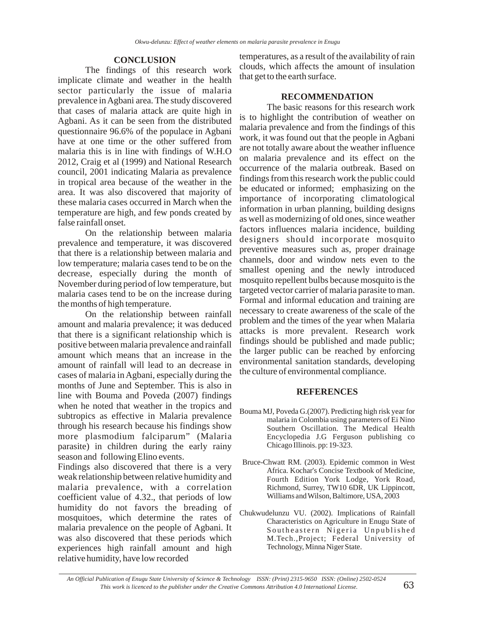## **CONCLUSION**

The findings of this research work implicate climate and weather in the health sector particularly the issue of malaria prevalence in Agbani area. The study discovered that cases of malaria attack are quite high in Agbani. As it can be seen from the distributed questionnaire 96.6% of the populace in Agbani have at one time or the other suffered from malaria this is in line with findings of W.H.O 2012, Craig et al (1999) and National Research council, 2001 indicating Malaria as prevalence in tropical area because of the weather in the area. It was also discovered that majority of these malaria cases occurred in March when the temperature are high, and few ponds created by false rainfall onset.

On the relationship between malaria prevalence and temperature, it was discovered that there is a relationship between malaria and low temperature; malaria cases tend to be on the decrease, especially during the month of November during period of low temperature, but malaria cases tend to be on the increase during the months of high temperature.

On the relationship between rainfall amount and malaria prevalence; it was deduced that there is a significant relationship which is positive between malaria prevalence and rainfall amount which means that an increase in the amount of rainfall will lead to an decrease in cases of malaria in Agbani, especially during the months of June and September. This is also in line with Bouma and Poveda (2007) findings when he noted that weather in the tropics and subtropics as effective in Malaria prevalence through his research because his findings show more plasmodium falciparum" (Malaria parasite) in children during the early rainy season and following Elino events.

Findings also discovered that there is a very weak relationship between relative humidity and malaria prevalence, with a correlation coefficient value of 4.32., that periods of low humidity do not favors the breading of mosquitoes, which determine the rates of malaria prevalence on the people of Agbani. It was also discovered that these periods which experiences high rainfall amount and high relative humidity, have low recorded

temperatures, as a result of the availability of rain clouds, which affects the amount of insulation that get to the earth surface.

## **RECOMMENDATION**

The basic reasons for this research work is to highlight the contribution of weather on malaria prevalence and from the findings of this work, it was found out that the people in Agbani are not totally aware about the weather influence on malaria prevalence and its effect on the occurrence of the malaria outbreak. Based on findings from this research work the public could be educated or informed; emphasizing on the importance of incorporating climatological information in urban planning, building designs as well as modernizing of old ones, since weather factors influences malaria incidence, building designers should incorporate mosquito preventive measures such as, proper drainage channels, door and window nets even to the smallest opening and the newly introduced mosquito repellent bulbs because mosquito is the targeted vector carrier of malaria parasite to man. Formal and informal education and training are necessary to create awareness of the scale of the problem and the times of the year when Malaria attacks is more prevalent. Research work findings should be published and made public; the larger public can be reached by enforcing environmental sanitation standards, developing the culture of environmental compliance.

## **REFERENCES**

- Bouma MJ, Poveda G.(2007). Predicting high risk year for malaria in Colombia using parameters of Ei Nino Southern Oscillation. The Medical Health Encyclopedia J.G Ferguson publishing co Chicago Illinois. pp: 19-323.
- Bruce-Chwatt RM. (2003). Epidemic common in West Africa. Kochar's Concise Textbook of Medicine, Fourth Edition York Lodge, York Road, Richmond, Surrey, TW10 6DR, UK Lippincott, Williams and Wilson, Baltimore, USA, 2003
- Chukwudelunzu VU. (2002). Implications of Rainfall Characteristics on Agriculture in Enugu State of Southeastern Nigeria Unpublished M.Tech.,Project; Federal University of Technology, Minna Niger State.